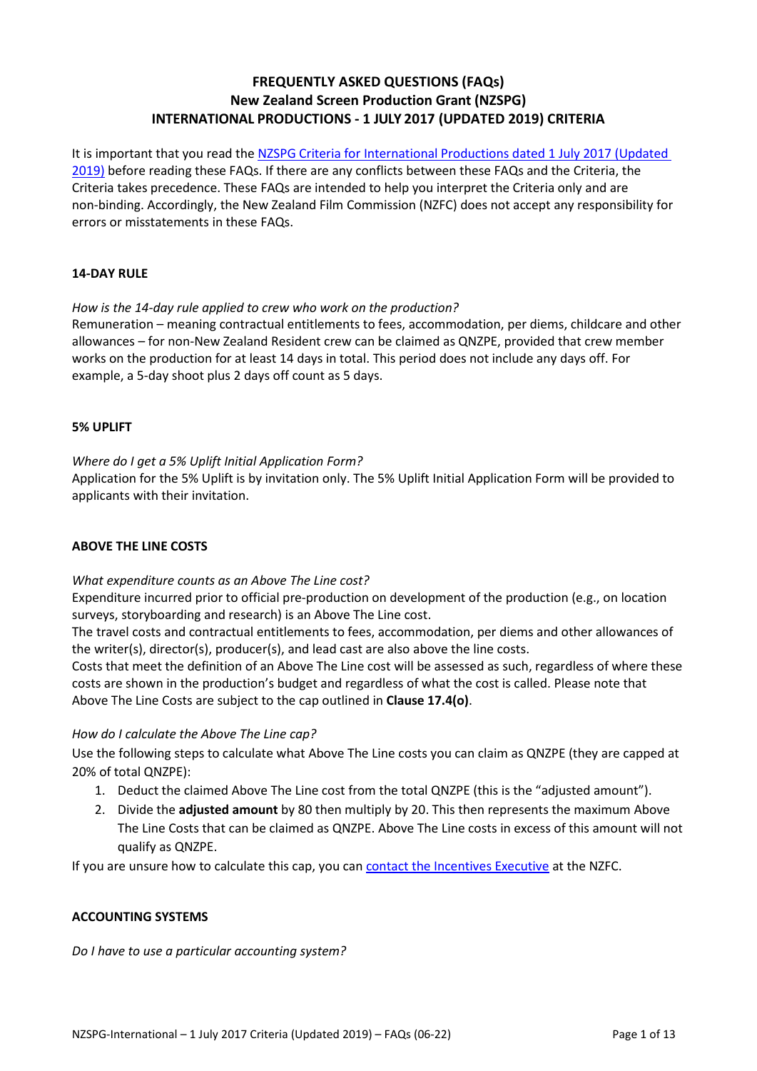# **FREQUENTLY ASKED QUESTIONS (FAQs) New Zealand Screen Production Grant (NZSPG) INTERNATIONAL PRODUCTIONS ‐ 1 JULY 2017 (UPDATED 2019) CRITERIA**

It is important that you read the [NZSPG Criteria for International Productions dated 1 July 2017 \(Updated](https://www.nzfilm.co.nz/resources/nzspg-international-criteria-1-july-2017-updated-2019)  [2019\)](https://www.nzfilm.co.nz/resources/nzspg-international-criteria-1-july-2017-updated-2019) before reading these FAQs. If there are any conflicts between these FAQs and the Criteria, the Criteria takes precedence. These FAQs are intended to help you interpret the Criteria only and are non‐binding. Accordingly, the New Zealand Film Commission (NZFC) does not accept any responsibility for errors or misstatements in these FAQs.

# **14‐DAY RULE**

# *How is the 14‐day rule applied to crew who work on the production?*

Remuneration – meaning contractual entitlements to fees, accommodation, per diems, childcare and other allowances – for non-New Zealand Resident crew can be claimed as QNZPE, provided that crew member works on the production for at least 14 days in total. This period does not include any days off. For example, a 5‐day shoot plus 2 days off count as 5 days.

# **5% UPLIFT**

# *Where do I get a 5% Uplift Initial Application Form?*

Application for the 5% Uplift is by invitation only. The 5% Uplift Initial Application Form will be provided to applicants with their invitation.

## **ABOVE THE LINE COSTS**

# *What expenditure counts as an Above The Line cost?*

Expenditure incurred prior to official pre‐production on development of the production (e.g., on location surveys, storyboarding and research) is an Above The Line cost.

The travel costs and contractual entitlements to fees, accommodation, per diems and other allowances of the writer(s), director(s), producer(s), and lead cast are also above the line costs.

Costs that meet the definition of an Above The Line cost will be assessed as such, regardless of where these costs are shown in the production's budget and regardless of what the cost is called. Please note that Above The Line Costs are subject to the cap outlined in **Clause 17.4(o)**.

# *How do I calculate the Above The Line cap?*

Use the following steps to calculate what Above The Line costs you can claim as QNZPE (they are capped at 20% of total QNZPE):

- 1. Deduct the claimed Above The Line cost from the total QNZPE (this is the "adjusted amount").
- 2. Divide the **adjusted amount** by 80 then multiply by 20. This then represents the maximum Above The Line Costs that can be claimed as QNZPE. Above The Line costs in excess of this amount will not qualify as QNZPE.

If you are unsure how to calculate this cap, you can [contact the Incentives Executive](mailto:nzspg@nzfilm.co.nz) at the NZFC.

# **ACCOUNTING SYSTEMS**

## *Do I have to use a particular accounting system?*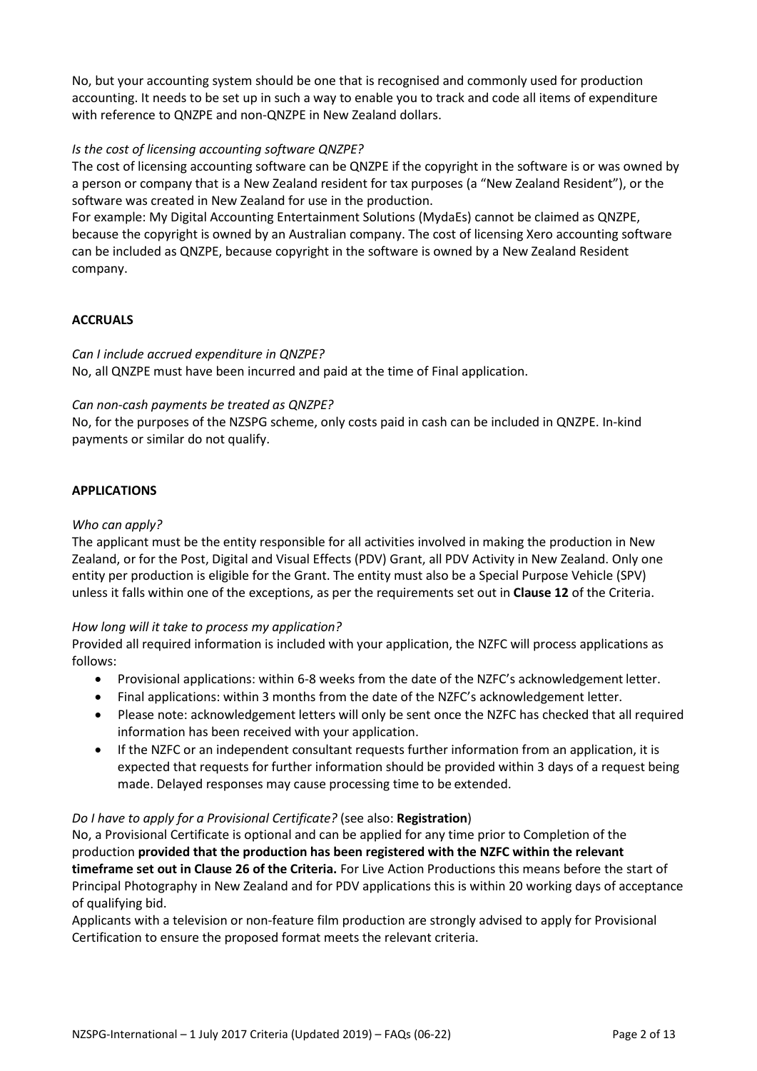No, but your accounting system should be one that is recognised and commonly used for production accounting. It needs to be set up in such a way to enable you to track and code all items of expenditure with reference to ONZPE and non-ONZPE in New Zealand dollars.

# *Is the cost of licensing accounting software QNZPE?*

The cost of licensing accounting software can be QNZPE if the copyright in the software is or was owned by a person or company that is a New Zealand resident for tax purposes (a "New Zealand Resident"), or the software was created in New Zealand for use in the production.

For example: My Digital Accounting Entertainment Solutions (MydaEs) cannot be claimed as QNZPE, because the copyright is owned by an Australian company. The cost of licensing Xero accounting software can be included as QNZPE, because copyright in the software is owned by a New Zealand Resident company.

## **ACCRUALS**

## *Can I include accrued expenditure in QNZPE?*

No, all QNZPE must have been incurred and paid at the time of Final application.

## *Can non‐cash payments be treated as QNZPE?*

No, for the purposes of the NZSPG scheme, only costs paid in cash can be included in QNZPE. In‐kind payments or similar do not qualify.

#### **APPLICATIONS**

#### *Who can apply?*

The applicant must be the entity responsible for all activities involved in making the production in New Zealand, or for the Post, Digital and Visual Effects (PDV) Grant, all PDV Activity in New Zealand. Only one entity per production is eligible for the Grant. The entity must also be a Special Purpose Vehicle (SPV) unless it falls within one of the exceptions, as per the requirements set out in **Clause 12** of the Criteria.

## *How long will it take to process my application?*

Provided all required information is included with your application, the NZFC will process applications as follows:

- Provisional applications: within 6-8 weeks from the date of the NZFC's acknowledgement letter.
- Final applications: within 3 months from the date of the NZFC's acknowledgement letter.
- Please note: acknowledgement letters will only be sent once the NZFC has checked that all required information has been received with your application.
- If the NZFC or an independent consultant requests further information from an application, it is expected that requests for further information should be provided within 3 days of a request being made. Delayed responses may cause processing time to be extended.

## *Do I have to apply for a Provisional Certificate?* (see also: **Registration**)

No, a Provisional Certificate is optional and can be applied for any time prior to Completion of the production **provided that the production has been registered with the NZFC within the relevant timeframe set out in Clause 26 of the Criteria.** For Live Action Productions this means before the start of Principal Photography in New Zealand and for PDV applications this is within 20 working days of acceptance of qualifying bid.

Applicants with a television or non-feature film production are strongly advised to apply for Provisional Certification to ensure the proposed format meets the relevant criteria.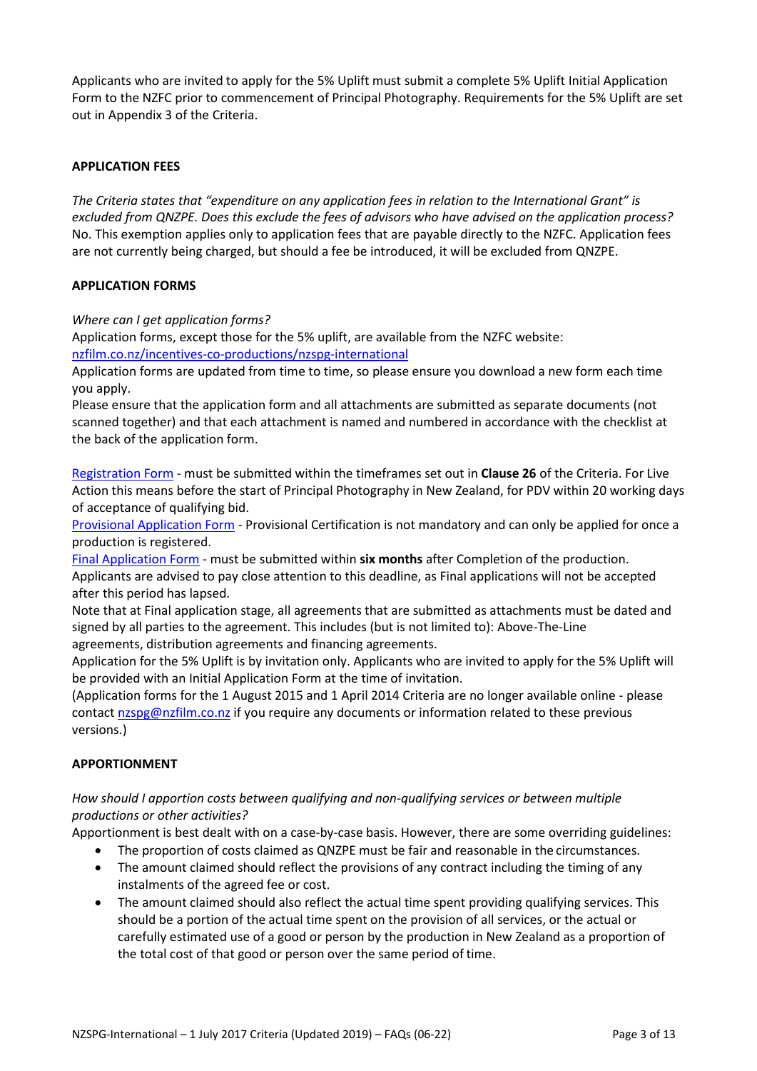Applicants who are invited to apply for the 5% Uplift must submit a complete 5% Uplift Initial Application Form to the NZFC prior to commencement of Principal Photography. Requirements for the 5% Uplift are set out in Appendix 3 of the Criteria.

# **APPLICATION FEES**

*The Criteria states that "expenditure on any application fees in relation to the International Grant" is excluded from QNZPE. Does this exclude the fees of advisors who have advised on the application process?* No. This exemption applies only to application fees that are payable directly to the NZFC. Application fees are not currently being charged, but should a fee be introduced, it will be excluded from QNZPE.

## **APPLICATION FORMS**

*Where can I get application forms?*

Application forms, except those for the 5% uplift, are available from the NZFC website:

[nzfilm.co.nz/incentives-co-productions/nzspg-international](https://www.nzfilm.co.nz/incentives-co-productions/nzspg-international)

Application forms are updated from time to time, so please ensure you download a new form each time you apply.

Please ensure that the application form and all attachments are submitted as separate documents (not scanned together) and that each attachment is named and numbered in accordance with the checklist at the back of the application form.

[Registration Form](https://www.nzfilm.co.nz/resources/nzspg-registration-form-%E2%80%93-international-1-july-2017) - must be submitted within the timeframes set out in **Clause 26** of the Criteria. For Live Action this means before the start of Principal Photography in New Zealand, for PDV within 20 working days of acceptance of qualifying bid.

[Provisional Application Form](https://www.nzfilm.co.nz/resources/nzspg-provisional-application-form-%E2%80%93-international-1-july-2017) - Provisional Certification is not mandatory and can only be applied for once a production is registered.

[Final Application Form](https://www.nzfilm.co.nz/resources/nzspg-final-application-form-%E2%80%93-international-1-july-2017) - must be submitted within **six months** after Completion of the production. Applicants are advised to pay close attention to this deadline, as Final applications will not be accepted after this period has lapsed.

Note that at Final application stage, all agreements that are submitted as attachments must be dated and signed by all parties to the agreement. This includes (but is not limited to): Above-The-Line agreements, distribution agreements and financing agreements.

Application for the 5% Uplift is by invitation only. Applicants who are invited to apply for the 5% Uplift will be provided with an Initial Application Form at the time of invitation.

(Application forms for the 1 August 2015 and 1 April 2014 Criteria are no longer available online - please contac[t nzspg@nzfilm.co.nz](mailto:nzspg@nzfilm.co.nz) if you require any documents or information related to these previous versions.)

## **APPORTIONMENT**

# *How should I apportion costs between qualifying and non‐qualifying services or between multiple productions or other activities?*

Apportionment is best dealt with on a case-by-case basis. However, there are some overriding guidelines:

- The proportion of costs claimed as QNZPE must be fair and reasonable in the circumstances.
- The amount claimed should reflect the provisions of any contract including the timing of any instalments of the agreed fee or cost.
- The amount claimed should also reflect the actual time spent providing qualifying services. This should be a portion of the actual time spent on the provision of all services, or the actual or carefully estimated use of a good or person by the production in New Zealand as a proportion of the total cost of that good or person over the same period of time.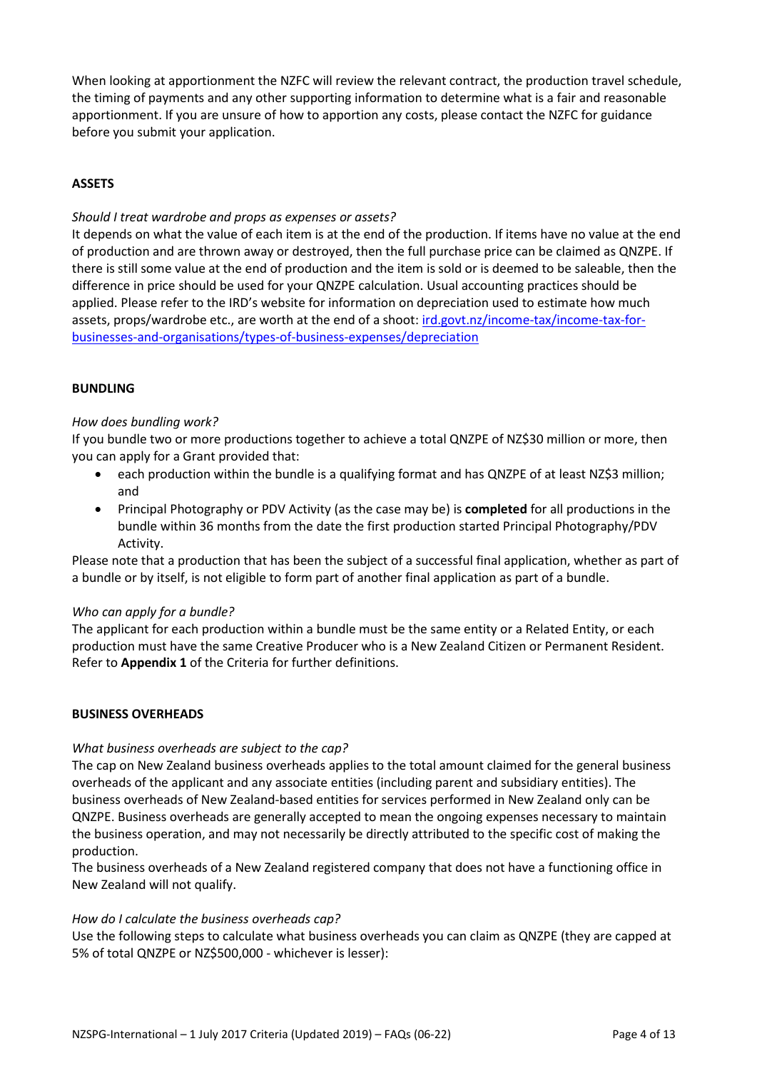When looking at apportionment the NZFC will review the relevant contract, the production travel schedule, the timing of payments and any other supporting information to determine what is a fair and reasonable apportionment. If you are unsure of how to apportion any costs, please contact the NZFC for guidance before you submit your application.

# **ASSETS**

# *Should I treat wardrobe and props as expenses or assets?*

It depends on what the value of each item is at the end of the production. If items have no value at the end of production and are thrown away or destroyed, then the full purchase price can be claimed as QNZPE. If there is still some value at the end of production and the item is sold or is deemed to be saleable, then the difference in price should be used for your QNZPE calculation. Usual accounting practices should be applied. Please refer to the IRD's website for information on depreciation used to estimate how much assets, props/wardrobe etc., are worth at the end of a shoot: [ird.govt.nz/income-tax/income-tax-for](https://www.ird.govt.nz/income-tax/income-tax-for-businesses-and-organisations/types-of-business-expenses/depreciation)[businesses-and-organisations/types-of-business-expenses/depreciation](https://www.ird.govt.nz/income-tax/income-tax-for-businesses-and-organisations/types-of-business-expenses/depreciation)

# **BUNDLING**

# *How does bundling work?*

If you bundle two or more productions together to achieve a total QNZPE of NZ\$30 million or more, then you can apply for a Grant provided that:

- each production within the bundle is a qualifying format and has QNZPE of at least NZ\$3 million; and
- Principal Photography or PDV Activity (as the case may be) is **completed** for all productions in the bundle within 36 months from the date the first production started Principal Photography/PDV Activity.

Please note that a production that has been the subject of a successful final application, whether as part of a bundle or by itself, is not eligible to form part of another final application as part of a bundle.

## *Who can apply for a bundle?*

The applicant for each production within a bundle must be the same entity or a Related Entity, or each production must have the same Creative Producer who is a New Zealand Citizen or Permanent Resident. Refer to **Appendix 1** of the Criteria for further definitions.

# **BUSINESS OVERHEADS**

## *What business overheads are subject to the cap?*

The cap on New Zealand business overheads applies to the total amount claimed for the general business overheads of the applicant and any associate entities (including parent and subsidiary entities). The business overheads of New Zealand‐based entities for services performed in New Zealand only can be QNZPE. Business overheads are generally accepted to mean the ongoing expenses necessary to maintain the business operation, and may not necessarily be directly attributed to the specific cost of making the production.

The business overheads of a New Zealand registered company that does not have a functioning office in New Zealand will not qualify.

## *How do I calculate the business overheads cap?*

Use the following steps to calculate what business overheads you can claim as QNZPE (they are capped at 5% of total QNZPE or NZ\$500,000 - whichever is lesser):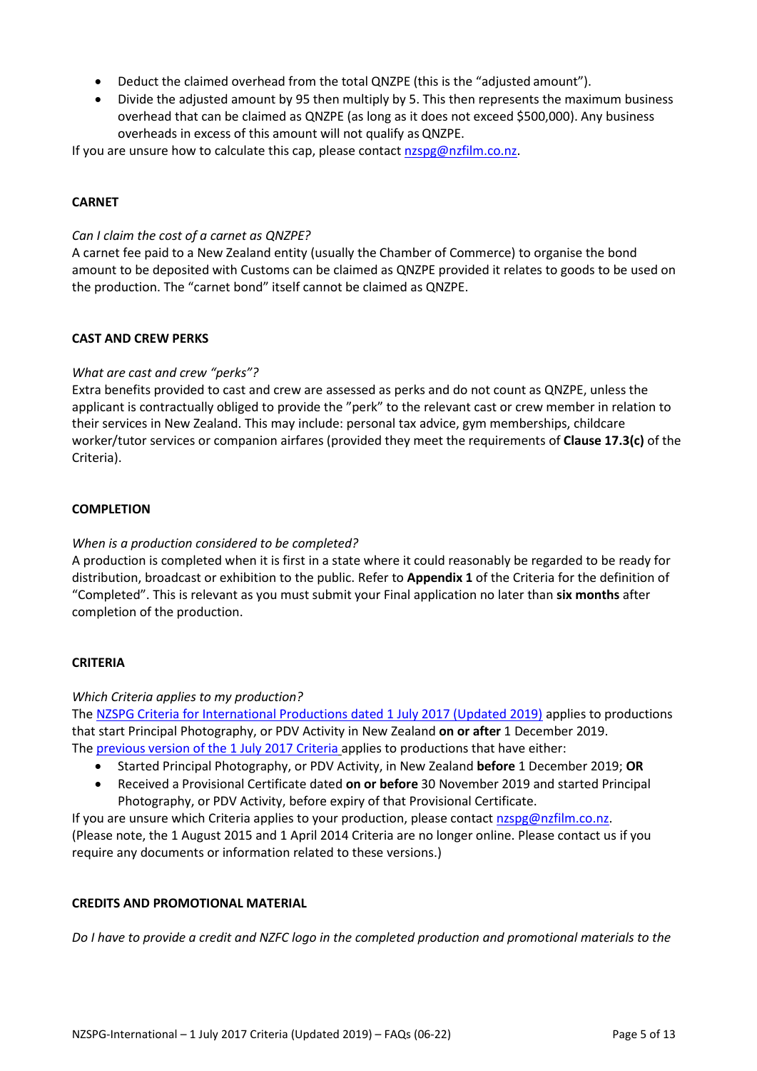- Deduct the claimed overhead from the total QNZPE (this is the "adjusted amount").
- Divide the adjusted amount by 95 then multiply by 5. This then represents the maximum business overhead that can be claimed as QNZPE (as long as it does not exceed \$500,000). Any business overheads in excess of this amount will not qualify as QNZPE.

If you are unsure how to calculate this cap, please contact [nzspg@nzfilm.co.nz.](mailto:nzspg@nzfilm.co.nz)

# **CARNET**

# *Can I claim the cost of a carnet as QNZPE?*

A carnet fee paid to a New Zealand entity (usually the Chamber of Commerce) to organise the bond amount to be deposited with Customs can be claimed as QNZPE provided it relates to goods to be used on the production. The "carnet bond" itself cannot be claimed as QNZPE.

# **CAST AND CREW PERKS**

# *What are cast and crew "perks"?*

Extra benefits provided to cast and crew are assessed as perks and do not count as QNZPE, unless the applicant is contractually obliged to provide the "perk" to the relevant cast or crew member in relation to their services in New Zealand. This may include: personal tax advice, gym memberships, childcare worker/tutor services or companion airfares (provided they meet the requirements of **Clause 17.3(c)** of the Criteria).

## **COMPLETION**

## *When is a production considered to be completed?*

A production is completed when it is first in a state where it could reasonably be regarded to be ready for distribution, broadcast or exhibition to the public. Refer to **Appendix 1** of the Criteria for the definition of "Completed". This is relevant as you must submit your Final application no later than **six months** after completion of the production.

## **CRITERIA**

## *Which Criteria applies to my production?*

The [NZSPG Criteria for International Productions dated 1 July 2017 \(Updated 2019\)](https://www.nzfilm.co.nz/resources/nzspg-international-criteria-1-july-2017-updated-2019) applies to productions that start Principal Photography, or PDV Activity in New Zealand **on or after** 1 December 2019. The [previous version of the 1 July 2017 Criteria](https://www.nzfilm.co.nz/resources/nzspg-criteria-international-1-july-2017) applies to productions that have either:

- Started Principal Photography, or PDV Activity, in New Zealand **before** 1 December 2019; **OR**
- Received a Provisional Certificate dated **on or before** 30 November 2019 and started Principal Photography, or PDV Activity, before expiry of that Provisional Certificate.

If you are unsure which Criteria applies to your production, please contac[t nzspg@nzfilm.co.nz.](mailto:nzspg@nzfilm.co.nz) (Please note, the 1 August 2015 and 1 April 2014 Criteria are no longer online. Please contact us if you require any documents or information related to these versions.)

## **CREDITS AND PROMOTIONAL MATERIAL**

*Do I have to provide a credit and NZFC logo in the completed production and promotional materials to the*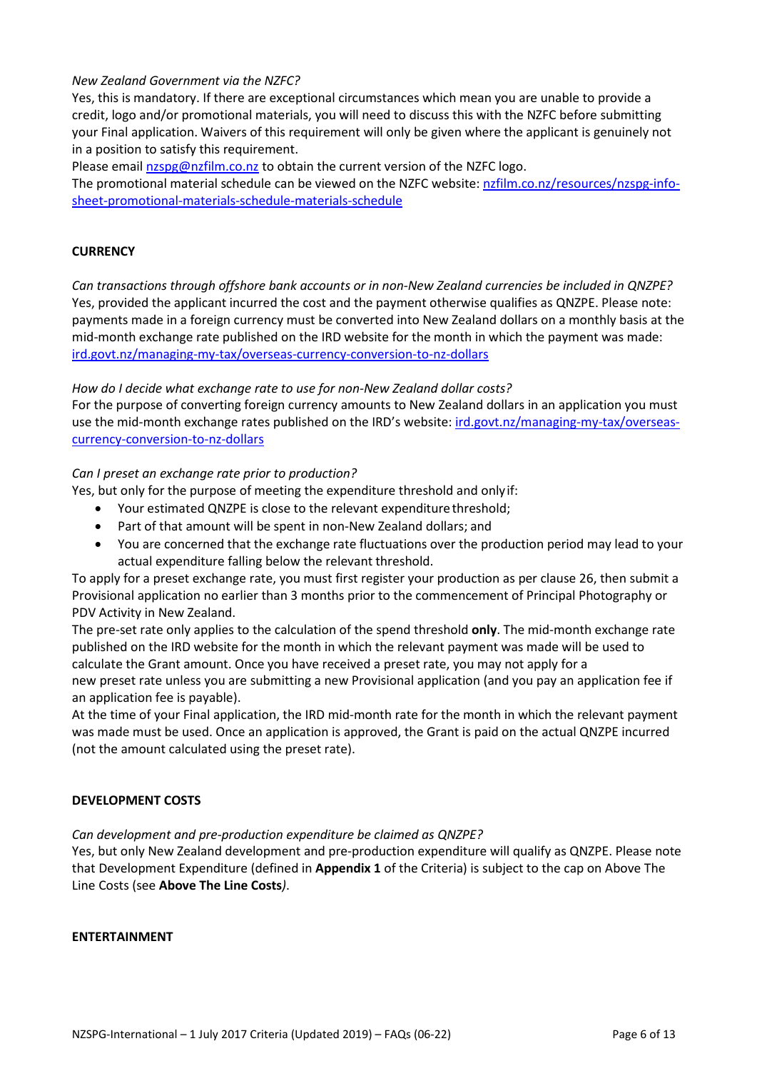# *New Zealand Government via the NZFC?*

Yes, this is mandatory. If there are exceptional circumstances which mean you are unable to provide a credit, logo and/or promotional materials, you will need to discuss this with the NZFC before submitting your Final application. Waivers of this requirement will only be given where the applicant is genuinely not in a position to satisfy this requirement.

Please email [nzspg@nzfilm.co.nz](mailto:nzspg@nzfilm.co.nz) to obtain the current version of the NZFC logo.

The promotional material schedule can be viewed on the NZFC website: [nzfilm.co.nz/resources/nzspg-info](https://www.nzfilm.co.nz/resources/nzspg-info-sheet-promotional-materials-schedule)[sheet-promotional-materials-schedule‐](https://www.nzfilm.co.nz/resources/nzspg-info-sheet-promotional-materials-schedule)materials‐schedule

## **CURRENCY**

*Can transactions through offshore bank accounts or in non‐New Zealand currencies be included in QNZPE?* Yes, provided the applicant incurred the cost and the payment otherwise qualifies as QNZPE. Please note: payments made in a foreign currency must be converted into New Zealand dollars on a monthly basis at the mid‐month exchange rate published on the IRD website for the month in which the payment was made: [ird.govt.nz/managing-my-tax/overseas-currency-conversion-to-nz-dollars](https://www.ird.govt.nz/managing-my-tax/overseas-currency-conversion-to-nz-dollars)

## *How do I decide what exchange rate to use for non‐New Zealand dollar costs?*

For the purpose of converting foreign currency amounts to New Zealand dollars in an application you must use the mid-month exchange rates published on the IRD's website: [ird.govt.nz/managing-my-tax/overseas](https://www.ird.govt.nz/managing-my-tax/overseas-currency-conversion-to-nz-dollars)[currency-conversion-to-nz-dollars](https://www.ird.govt.nz/managing-my-tax/overseas-currency-conversion-to-nz-dollars)

## *Can I preset an exchange rate prior to production?*

Yes, but only for the purpose of meeting the expenditure threshold and onlyif:

- Your estimated QNZPE is close to the relevant expenditure threshold;
- Part of that amount will be spent in non‐New Zealand dollars; and
- You are concerned that the exchange rate fluctuations over the production period may lead to your actual expenditure falling below the relevant threshold.

To apply for a preset exchange rate, you must first register your production as per clause 26, then submit a Provisional application no earlier than 3 months prior to the commencement of Principal Photography or PDV Activity in New Zealand.

The pre‐set rate only applies to the calculation of the spend threshold **only**. The mid‐month exchange rate published on the IRD website for the month in which the relevant payment was made will be used to calculate the Grant amount. Once you have received a preset rate, you may not apply for a new preset rate unless you are submitting a new Provisional application (and you pay an application fee if an application fee is payable).

At the time of your Final application, the IRD mid-month rate for the month in which the relevant payment was made must be used. Once an application is approved, the Grant is paid on the actual QNZPE incurred (not the amount calculated using the preset rate).

## **DEVELOPMENT COSTS**

*Can development and pre‐production expenditure be claimed as QNZPE?*

Yes, but only New Zealand development and pre‐production expenditure will qualify as QNZPE. Please note that Development Expenditure (defined in **Appendix 1** of the Criteria) is subject to the cap on Above The Line Costs (see **Above The Line Costs***)*.

#### **ENTERTAINMENT**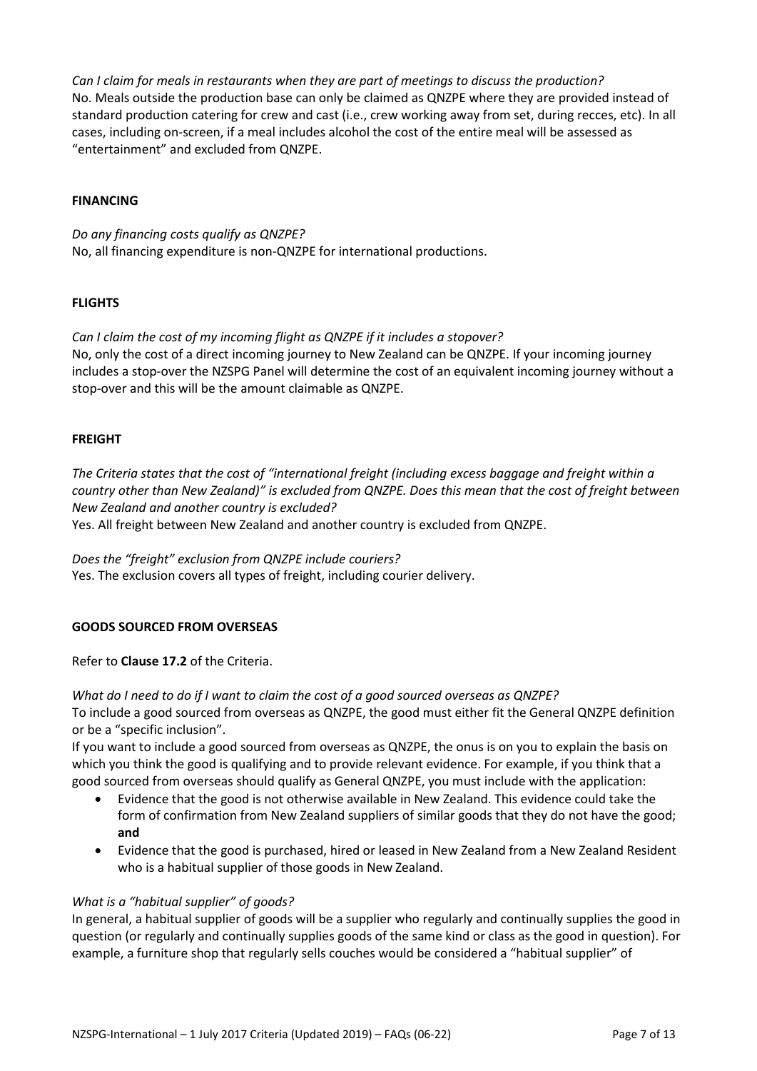*Can I claim for meals in restaurants when they are part of meetings to discuss the production?* No. Meals outside the production base can only be claimed as QNZPE where they are provided instead of standard production catering for crew and cast (i.e., crew working away from set, during recces, etc). In all cases, including on-screen, if a meal includes alcohol the cost of the entire meal will be assessed as "entertainment" and excluded from QNZPE.

## **FINANCING**

*Do any financing costs qualify as QNZPE?* No, all financing expenditure is non‐QNZPE for international productions.

## **FLIGHTS**

*Can I claim the cost of my incoming flight as QNZPE if it includes a stopover?* No, only the cost of a direct incoming journey to New Zealand can be QNZPE. If your incoming journey includes a stop-over the NZSPG Panel will determine the cost of an equivalent incoming journey without a stop-over and this will be the amount claimable as QNZPE.

# **FREIGHT**

*The Criteria states that the cost of "international freight (including excess baggage and freight within a country other than New Zealand)" is excluded from QNZPE. Does this mean that the cost of freight between New Zealand and another country is excluded?*

Yes. All freight between New Zealand and another country is excluded from QNZPE.

*Does the "freight" exclusion from QNZPE include couriers?* Yes. The exclusion covers all types of freight, including courier delivery.

# **GOODS SOURCED FROM OVERSEAS**

Refer to **Clause 17.2** of the Criteria.

*What do I need to do if I want to claim the cost of a good sourced overseas as QNZPE?* To include a good sourced from overseas as QNZPE, the good must either fit the General QNZPE definition or be a "specific inclusion".

If you want to include a good sourced from overseas as QNZPE, the onus is on you to explain the basis on which you think the good is qualifying and to provide relevant evidence. For example, if you think that a good sourced from overseas should qualify as General QNZPE, you must include with the application:

- Evidence that the good is not otherwise available in New Zealand. This evidence could take the form of confirmation from New Zealand suppliers of similar goods that they do not have the good; **and**
- Evidence that the good is purchased, hired or leased in New Zealand from a New Zealand Resident who is a habitual supplier of those goods in New Zealand.

## *What is a "habitual supplier" of goods?*

In general, a habitual supplier of goods will be a supplier who regularly and continually supplies the good in question (or regularly and continually supplies goods of the same kind or class as the good in question). For example, a furniture shop that regularly sells couches would be considered a "habitual supplier" of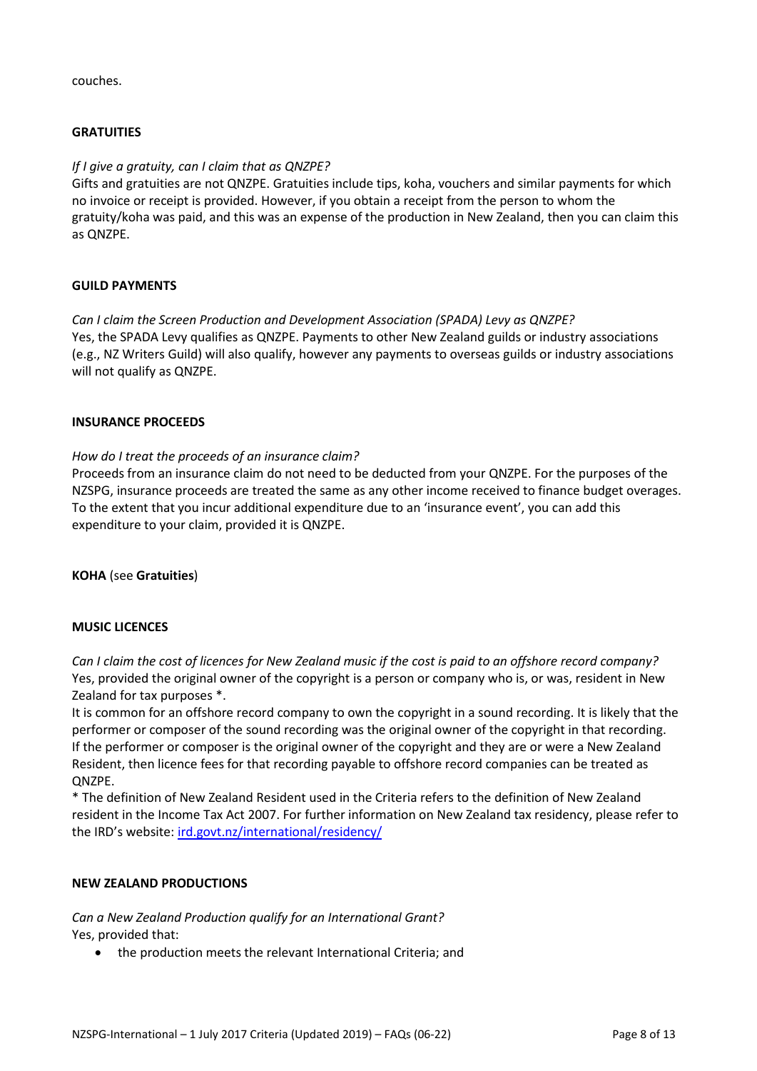couches.

## **GRATUITIES**

## *If I give a gratuity, can I claim that as QNZPE?*

Gifts and gratuities are not QNZPE. Gratuities include tips, koha, vouchers and similar payments for which no invoice or receipt is provided. However, if you obtain a receipt from the person to whom the gratuity/koha was paid, and this was an expense of the production in New Zealand, then you can claim this as QNZPE.

## **GUILD PAYMENTS**

*Can I claim the Screen Production and Development Association (SPADA) Levy as QNZPE?* Yes, the SPADA Levy qualifies as QNZPE. Payments to other New Zealand guilds or industry associations (e.g., NZ Writers Guild) will also qualify, however any payments to overseas guilds or industry associations will not qualify as QNZPE.

## **INSURANCE PROCEEDS**

# *How do I treat the proceeds of an insurance claim?*

Proceeds from an insurance claim do not need to be deducted from your QNZPE. For the purposes of the NZSPG, insurance proceeds are treated the same as any other income received to finance budget overages. To the extent that you incur additional expenditure due to an 'insurance event', you can add this expenditure to your claim, provided it is QNZPE.

## **KOHA** (see **Gratuities**)

## **MUSIC LICENCES**

*Can I claim the cost of licences for New Zealand music if the cost is paid to an offshore record company?* Yes, provided the original owner of the copyright is a person or company who is, or was, resident in New Zealand for tax purposes \*.

It is common for an offshore record company to own the copyright in a sound recording. It is likely that the performer or composer of the sound recording was the original owner of the copyright in that recording. If the performer or composer is the original owner of the copyright and they are or were a New Zealand Resident, then licence fees for that recording payable to offshore record companies can be treated as QNZPE.

\* The definition of New Zealand Resident used in the Criteria refers to the definition of New Zealand resident in the Income Tax Act 2007. For further information on New Zealand tax residency, please refer to the IRD's website: [ird.govt.nz/international/residency/](http://www.ird.govt.nz/international/residency/)

## **NEW ZEALAND PRODUCTIONS**

*Can a New Zealand Production qualify for an International Grant?* Yes, provided that:

• the production meets the relevant International Criteria; and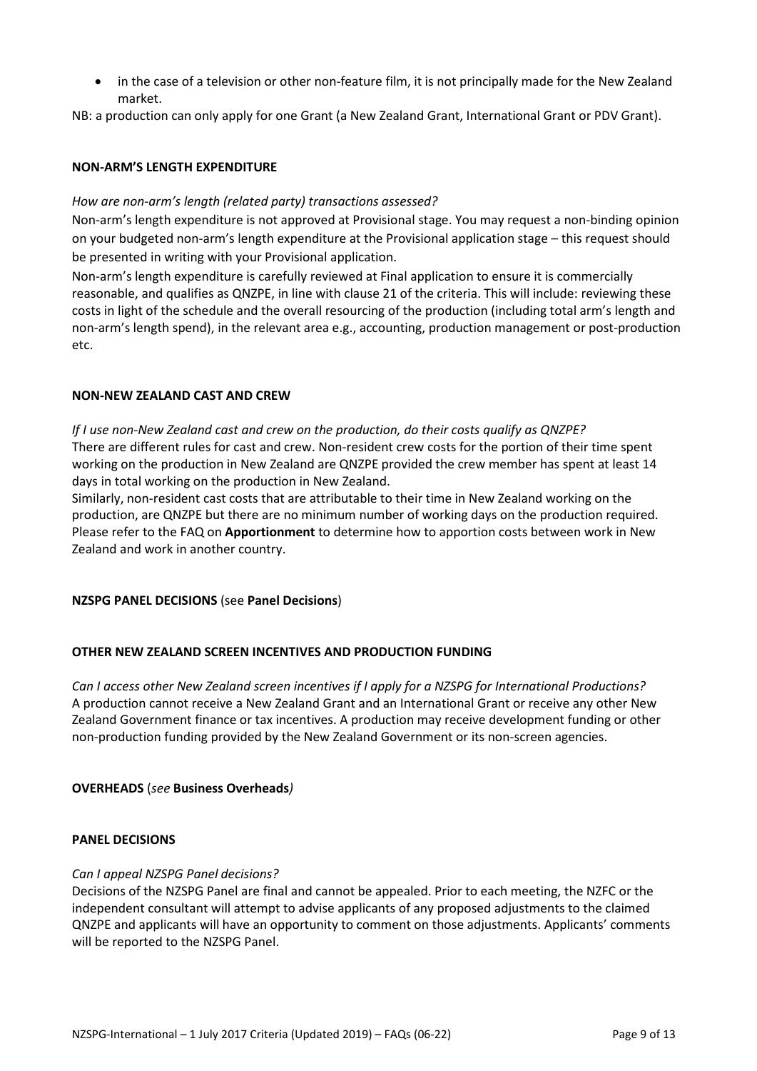in the case of a television or other non-feature film, it is not principally made for the New Zealand market.

NB: a production can only apply for one Grant (a New Zealand Grant, International Grant or PDV Grant).

## **NON-ARM'S LENGTH EXPENDITURE**

## *How are non-arm's length (related party) transactions assessed?*

Non-arm's length expenditure is not approved at Provisional stage. You may request a non-binding opinion on your budgeted non-arm's length expenditure at the Provisional application stage – this request should be presented in writing with your Provisional application.

Non-arm's length expenditure is carefully reviewed at Final application to ensure it is commercially reasonable, and qualifies as QNZPE, in line with clause 21 of the criteria. This will include: reviewing these costs in light of the schedule and the overall resourcing of the production (including total arm's length and non-arm's length spend), in the relevant area e.g., accounting, production management or post-production etc.

## **NON‐NEW ZEALAND CAST AND CREW**

*If I use non‐New Zealand cast and crew on the production, do their costs qualify as QNZPE?* There are different rules for cast and crew. Non-resident crew costs for the portion of their time spent working on the production in New Zealand are QNZPE provided the crew member has spent at least 14 days in total working on the production in New Zealand.

Similarly, non‐resident cast costs that are attributable to their time in New Zealand working on the production, are QNZPE but there are no minimum number of working days on the production required. Please refer to the FAQ on **Apportionment** to determine how to apportion costs between work in New Zealand and work in another country.

## **NZSPG PANEL DECISIONS** (see **Panel Decisions**)

# **OTHER NEW ZEALAND SCREEN INCENTIVES AND PRODUCTION FUNDING**

*Can I access other New Zealand screen incentives if I apply for a NZSPG for International Productions?* A production cannot receive a New Zealand Grant and an International Grant or receive any other New Zealand Government finance or tax incentives. A production may receive development funding or other non‐production funding provided by the New Zealand Government or its non-screen agencies.

## **OVERHEADS** (*see* **Business Overheads***)*

## **PANEL DECISIONS**

## *Can I appeal NZSPG Panel decisions?*

Decisions of the NZSPG Panel are final and cannot be appealed. Prior to each meeting, the NZFC or the independent consultant will attempt to advise applicants of any proposed adjustments to the claimed QNZPE and applicants will have an opportunity to comment on those adjustments. Applicants' comments will be reported to the NZSPG Panel.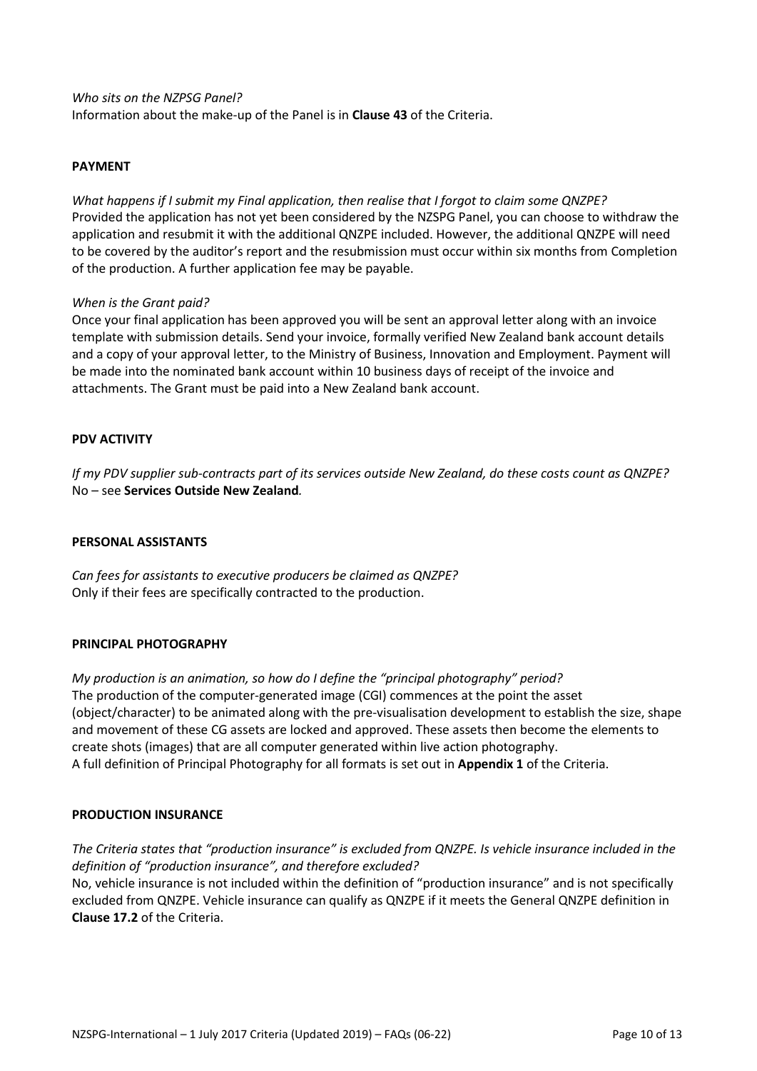#### *Who sits on the NZPSG Panel?*

Information about the make‐up of the Panel is in **Clause 43** of the Criteria.

## **PAYMENT**

*What happens if I submit my Final application, then realise that I forgot to claim some QNZPE?* Provided the application has not yet been considered by the NZSPG Panel, you can choose to withdraw the application and resubmit it with the additional QNZPE included. However, the additional QNZPE will need to be covered by the auditor's report and the resubmission must occur within six months from Completion of the production. A further application fee may be payable.

#### *When is the Grant paid?*

Once your final application has been approved you will be sent an approval letter along with an invoice template with submission details. Send your invoice, formally verified New Zealand bank account details and a copy of your approval letter, to the Ministry of Business, Innovation and Employment. Payment will be made into the nominated bank account within 10 business days of receipt of the invoice and attachments. The Grant must be paid into a New Zealand bank account.

## **PDV ACTIVITY**

*If my PDV supplier sub‐contracts part of its services outside New Zealand, do these costs count as QNZPE?* No – see **Services Outside New Zealand***.*

#### **PERSONAL ASSISTANTS**

*Can fees for assistants to executive producers be claimed as QNZPE?* Only if their fees are specifically contracted to the production.

## **PRINCIPAL PHOTOGRAPHY**

*My production is an animation, so how do I define the "principal photography" period?* The production of the computer‐generated image (CGI) commences at the point the asset (object/character) to be animated along with the pre‐visualisation development to establish the size, shape and movement of these CG assets are locked and approved. These assets then become the elements to create shots (images) that are all computer generated within live action photography. A full definition of Principal Photography for all formats is set out in **Appendix 1** of the Criteria.

#### **PRODUCTION INSURANCE**

*The Criteria states that "production insurance" is excluded from QNZPE. Is vehicle insurance included in the definition of "production insurance", and therefore excluded?*

No, vehicle insurance is not included within the definition of "production insurance" and is not specifically excluded from QNZPE. Vehicle insurance can qualify as QNZPE if it meets the General QNZPE definition in **Clause 17.2** of the Criteria.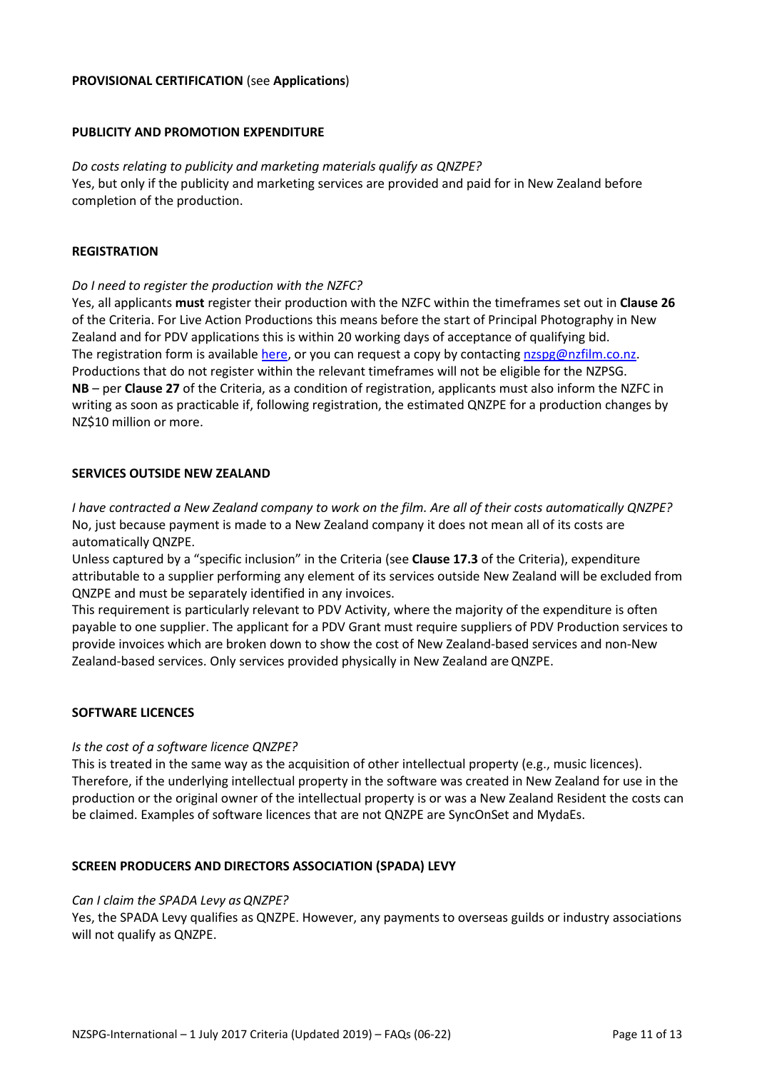## **PROVISIONAL CERTIFICATION** (see **Applications**)

#### **PUBLICITY AND PROMOTION EXPENDITURE**

*Do costs relating to publicity and marketing materials qualify as QNZPE?* Yes, but only if the publicity and marketing services are provided and paid for in New Zealand before completion of the production.

#### **REGISTRATION**

#### *Do I need to register the production with the NZFC?*

Yes, all applicants **must** register their production with the NZFC within the timeframes set out in **Clause 26** of the Criteria. For Live Action Productions this means before the start of Principal Photography in New Zealand and for PDV applications this is within 20 working days of acceptance of qualifying bid. The registration form is available [here,](https://www.nzfilm.co.nz/resources/nzspg-registration-form-%E2%80%93-international-1-july-2017) or you can request a copy by contacting [nzspg@nzfilm.co.nz.](mailto:nzspg@nzfilm.co.nz) Productions that do not register within the relevant timeframes will not be eligible for the NZPSG. **NB** – per **Clause 27** of the Criteria, as a condition of registration, applicants must also inform the NZFC in writing as soon as practicable if, following registration, the estimated QNZPE for a production changes by NZ\$10 million or more.

#### **SERVICES OUTSIDE NEW ZEALAND**

*I have contracted a New Zealand company to work on the film. Are all of their costs automatically QNZPE?* No, just because payment is made to a New Zealand company it does not mean all of its costs are automatically QNZPE.

Unless captured by a "specific inclusion" in the Criteria (see **Clause 17.3** of the Criteria), expenditure attributable to a supplier performing any element of its services outside New Zealand will be excluded from QNZPE and must be separately identified in any invoices.

This requirement is particularly relevant to PDV Activity, where the majority of the expenditure is often payable to one supplier. The applicant for a PDV Grant must require suppliers of PDV Production services to provide invoices which are broken down to show the cost of New Zealand‐based services and non‐New Zealand‐based services. Only services provided physically in New Zealand areQNZPE.

#### **SOFTWARE LICENCES**

#### *Is the cost of a software licence QNZPE?*

This is treated in the same way as the acquisition of other intellectual property (e.g., music licences). Therefore, if the underlying intellectual property in the software was created in New Zealand for use in the production or the original owner of the intellectual property is or was a New Zealand Resident the costs can be claimed. Examples of software licences that are not QNZPE are SyncOnSet and MydaEs.

## **SCREEN PRODUCERS AND DIRECTORS ASSOCIATION (SPADA) LEVY**

#### Can I claim the SPADA Levy as QNZPE?

Yes, the SPADA Levy qualifies as QNZPE. However, any payments to overseas guilds or industry associations will not qualify as QNZPE.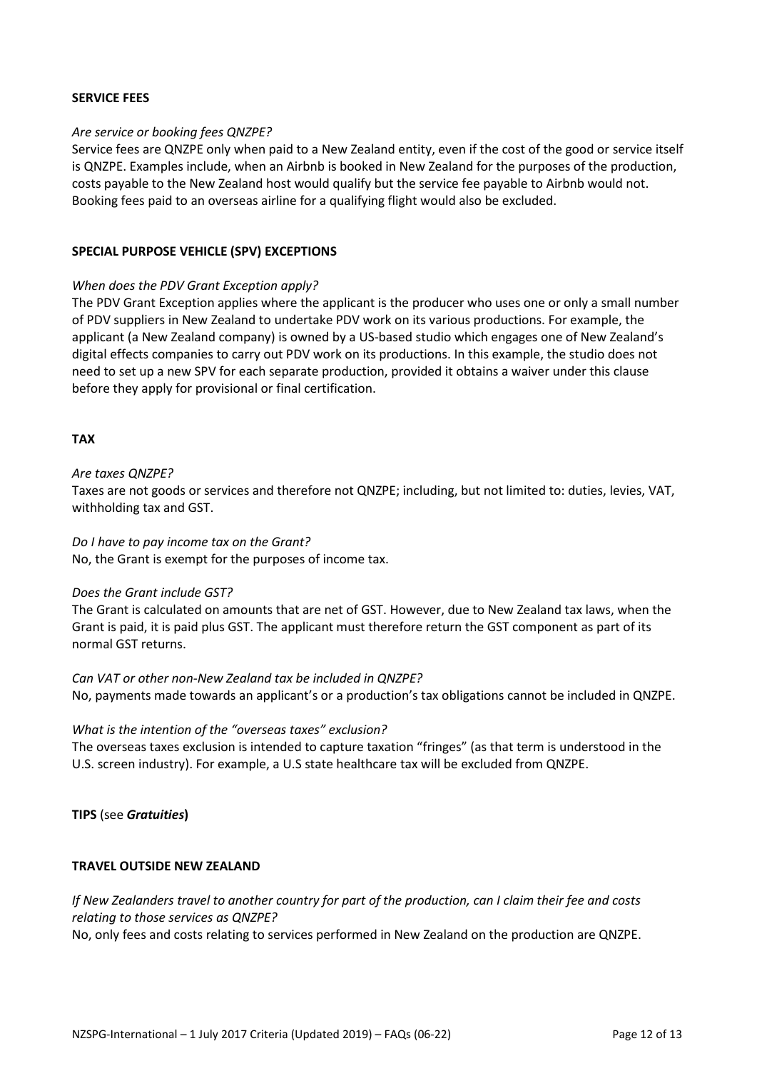#### **SERVICE FEES**

#### *Are service or booking fees QNZPE?*

Service fees are QNZPE only when paid to a New Zealand entity, even if the cost of the good or service itself is QNZPE. Examples include, when an Airbnb is booked in New Zealand for the purposes of the production, costs payable to the New Zealand host would qualify but the service fee payable to Airbnb would not. Booking fees paid to an overseas airline for a qualifying flight would also be excluded.

#### **SPECIAL PURPOSE VEHICLE (SPV) EXCEPTIONS**

#### *When does the PDV Grant Exception apply?*

The PDV Grant Exception applies where the applicant is the producer who uses one or only a small number of PDV suppliers in New Zealand to undertake PDV work on its various productions. For example, the applicant (a New Zealand company) is owned by a US‐based studio which engages one of New Zealand's digital effects companies to carry out PDV work on its productions. In this example, the studio does not need to set up a new SPV for each separate production, provided it obtains a waiver under this clause before they apply for provisional or final certification.

#### **TAX**

#### *Are taxes QNZPE?*

Taxes are not goods or services and therefore not QNZPE; including, but not limited to: duties, levies, VAT, withholding tax and GST.

#### *Do I have to pay income tax on the Grant?*

No, the Grant is exempt for the purposes of income tax.

#### *Does the Grant include GST?*

The Grant is calculated on amounts that are net of GST. However, due to New Zealand tax laws, when the Grant is paid, it is paid plus GST. The applicant must therefore return the GST component as part of its normal GST returns.

*Can VAT or other non‐New Zealand tax be included in QNZPE?* No, payments made towards an applicant's or a production's tax obligations cannot be included in QNZPE.

## *What is the intention of the "overseas taxes" exclusion?*

The overseas taxes exclusion is intended to capture taxation "fringes" (as that term is understood in the U.S. screen industry). For example, a U.S state healthcare tax will be excluded from QNZPE.

## **TIPS** (see *Gratuities***)**

## **TRAVEL OUTSIDE NEW ZEALAND**

*If New Zealanders travel to another country for part of the production, can I claim their fee and costs relating to those services as QNZPE?*

No, only fees and costs relating to services performed in New Zealand on the production are QNZPE.